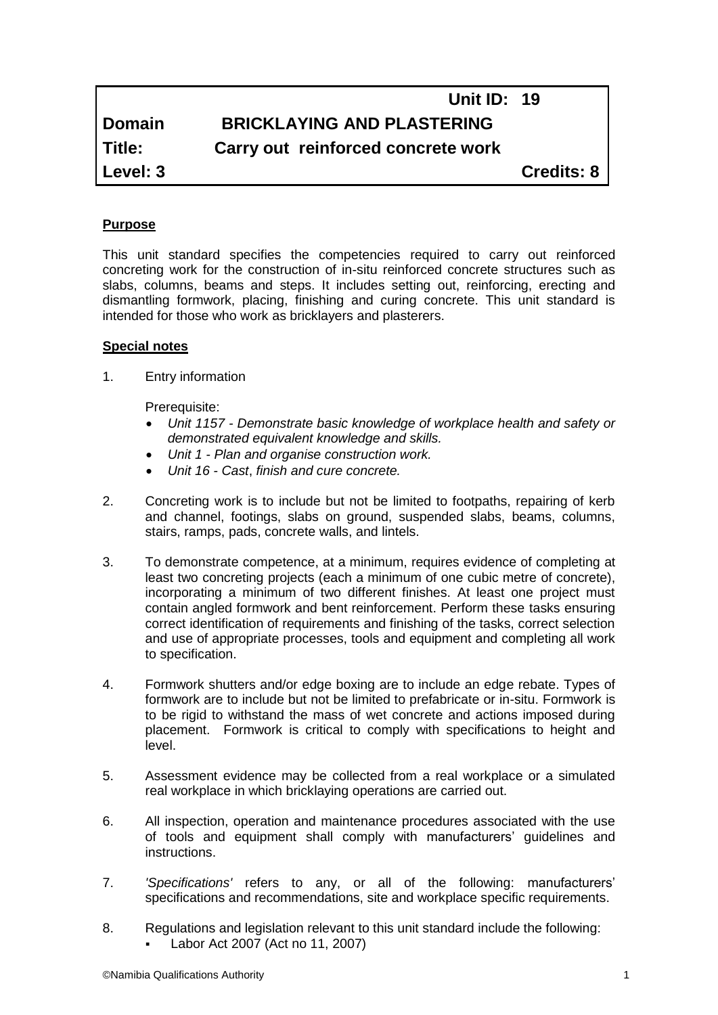# **Unit ID: 19 Domain BRICKLAYING AND PLASTERING Title: Carry out reinforced concrete work Level: 3 Credits: 8**

# **Purpose**

This unit standard specifies the competencies required to carry out reinforced concreting work for the construction of in-situ reinforced concrete structures such as slabs, columns, beams and steps. It includes setting out, reinforcing, erecting and dismantling formwork, placing, finishing and curing concrete. This unit standard is intended for those who work as bricklayers and plasterers.

#### **Special notes**

1. Entry information

Prerequisite:

- *Unit 1157 - Demonstrate basic knowledge of workplace health and safety or demonstrated equivalent knowledge and skills.*
- *Unit 1 - Plan and organise construction work.*
- *Unit 16 - Cast*, *finish and cure concrete.*
- 2. Concreting work is to include but not be limited to footpaths, repairing of kerb and channel, footings, slabs on ground, suspended slabs, beams, columns, stairs, ramps, pads, concrete walls, and lintels.
- 3. To demonstrate competence, at a minimum, requires evidence of completing at least two concreting projects (each a minimum of one cubic metre of concrete), incorporating a minimum of two different finishes. At least one project must contain angled formwork and bent reinforcement. Perform these tasks ensuring correct identification of requirements and finishing of the tasks, correct selection and use of appropriate processes, tools and equipment and completing all work to specification.
- 4. Formwork shutters and/or edge boxing are to include an edge rebate. Types of formwork are to include but not be limited to prefabricate or in-situ. Formwork is to be rigid to withstand the mass of wet concrete and actions imposed during placement. Formwork is critical to comply with specifications to height and level.
- 5. Assessment evidence may be collected from a real workplace or a simulated real workplace in which bricklaying operations are carried out.
- 6. All inspection, operation and maintenance procedures associated with the use of tools and equipment shall comply with manufacturers' guidelines and instructions.
- 7. *'Specifications'* refers to any, or all of the following: manufacturers' specifications and recommendations, site and workplace specific requirements.
- 8. Regulations and legislation relevant to this unit standard include the following: Labor Act 2007 (Act no 11, 2007)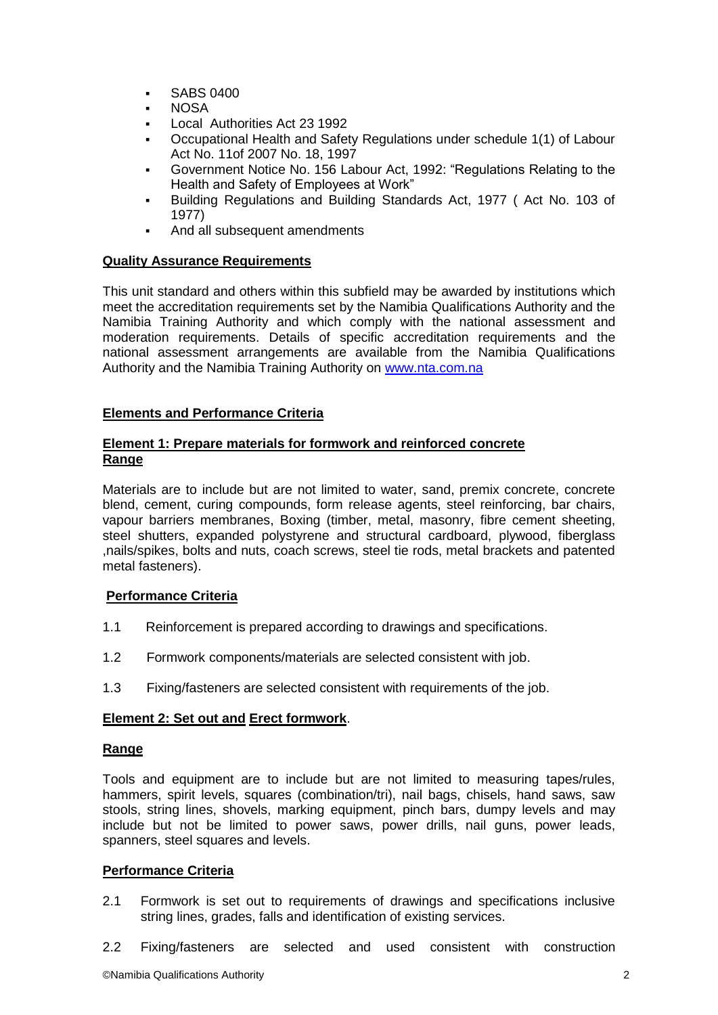- **SABS 0400**
- NOSA
- Local Authorities Act 23 1992
- Occupational Health and Safety Regulations under schedule 1(1) of Labour Act No. 11of 2007 No. 18, 1997
- Government Notice No. 156 Labour Act, 1992: "Regulations Relating to the Health and Safety of Employees at Work"
- Building Regulations and Building Standards Act, 1977 ( Act No. 103 of 1977)
- And all subsequent amendments

## **Quality Assurance Requirements**

This unit standard and others within this subfield may be awarded by institutions which meet the accreditation requirements set by the Namibia Qualifications Authority and the Namibia Training Authority and which comply with the national assessment and moderation requirements. Details of specific accreditation requirements and the national assessment arrangements are available from the Namibia Qualifications Authority and the Namibia Training Authority on [www.nta.com.na](http://www.nta.com.na/)

# **Elements and Performance Criteria**

## **Element 1: Prepare materials for formwork and reinforced concrete Range**

Materials are to include but are not limited to water, sand, premix concrete, concrete blend, cement, curing compounds, form release agents, steel reinforcing, bar chairs, vapour barriers membranes, Boxing (timber, metal, masonry, fibre cement sheeting, steel shutters, expanded polystyrene and structural cardboard, plywood, fiberglass ,nails/spikes, bolts and nuts, coach screws, steel tie rods, metal brackets and patented metal fasteners).

# **Performance Criteria**

- 1.1 Reinforcement is prepared according to drawings and specifications.
- 1.2 Formwork components/materials are selected consistent with job.
- 1.3 Fixing/fasteners are selected consistent with requirements of the job.

## **Element 2: Set out and Erect formwork**.

## **Range**

Tools and equipment are to include but are not limited to measuring tapes/rules, hammers, spirit levels, squares (combination/tri), nail bags, chisels, hand saws, saw stools, string lines, shovels, marking equipment, pinch bars, dumpy levels and may include but not be limited to power saws, power drills, nail guns, power leads, spanners, steel squares and levels.

## **Performance Criteria**

- 2.1 Formwork is set out to requirements of drawings and specifications inclusive string lines, grades, falls and identification of existing services.
- 2.2 Fixing/fasteners are selected and used consistent with construction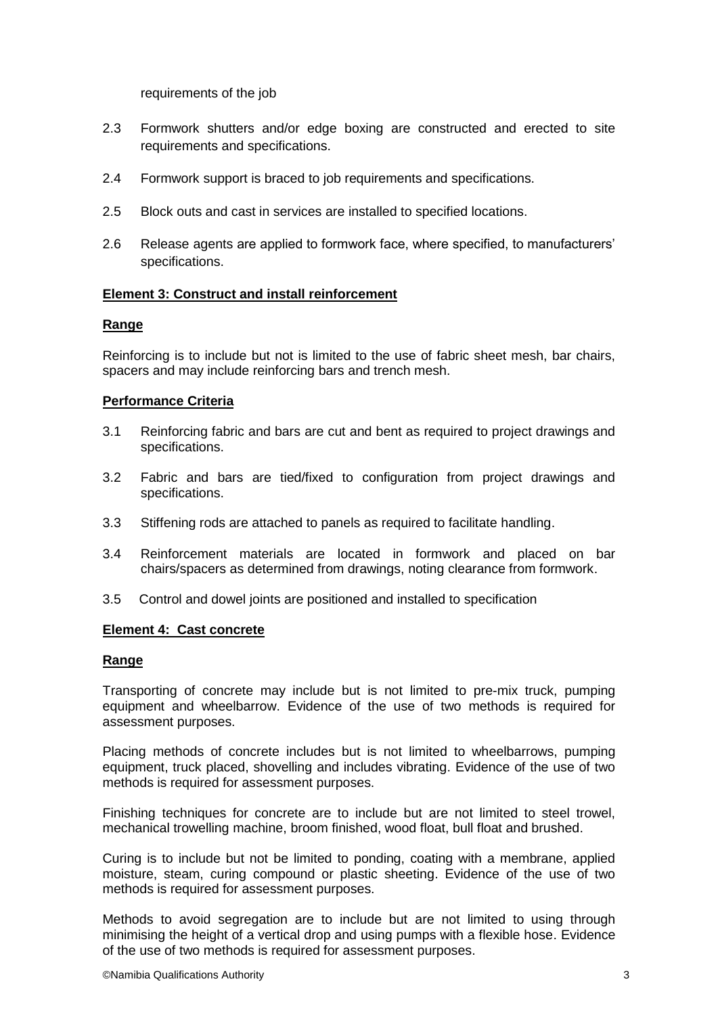requirements of the job

- 2.3 Formwork shutters and/or edge boxing are constructed and erected to site requirements and specifications.
- 2.4 Formwork support is braced to job requirements and specifications.
- 2.5 Block outs and cast in services are installed to specified locations.
- 2.6 Release agents are applied to formwork face, where specified, to manufacturers' specifications.

## **Element 3: Construct and install reinforcement**

#### **Range**

Reinforcing is to include but not is limited to the use of fabric sheet mesh, bar chairs, spacers and may include reinforcing bars and trench mesh.

#### **Performance Criteria**

- 3.1 Reinforcing fabric and bars are cut and bent as required to project drawings and specifications.
- 3.2 Fabric and bars are tied/fixed to configuration from project drawings and specifications.
- 3.3 Stiffening rods are attached to panels as required to facilitate handling.
- 3.4 Reinforcement materials are located in formwork and placed on bar chairs/spacers as determined from drawings, noting clearance from formwork.
- 3.5 Control and dowel joints are positioned and installed to specification

#### **Element 4: Cast concrete**

#### **Range**

Transporting of concrete may include but is not limited to pre-mix truck, pumping equipment and wheelbarrow. Evidence of the use of two methods is required for assessment purposes.

Placing methods of concrete includes but is not limited to wheelbarrows, pumping equipment, truck placed, shovelling and includes vibrating. Evidence of the use of two methods is required for assessment purposes.

Finishing techniques for concrete are to include but are not limited to steel trowel, mechanical trowelling machine, broom finished, wood float, bull float and brushed.

Curing is to include but not be limited to ponding, coating with a membrane, applied moisture, steam, curing compound or plastic sheeting. Evidence of the use of two methods is required for assessment purposes.

Methods to avoid segregation are to include but are not limited to using through minimising the height of a vertical drop and using pumps with a flexible hose. Evidence of the use of two methods is required for assessment purposes.